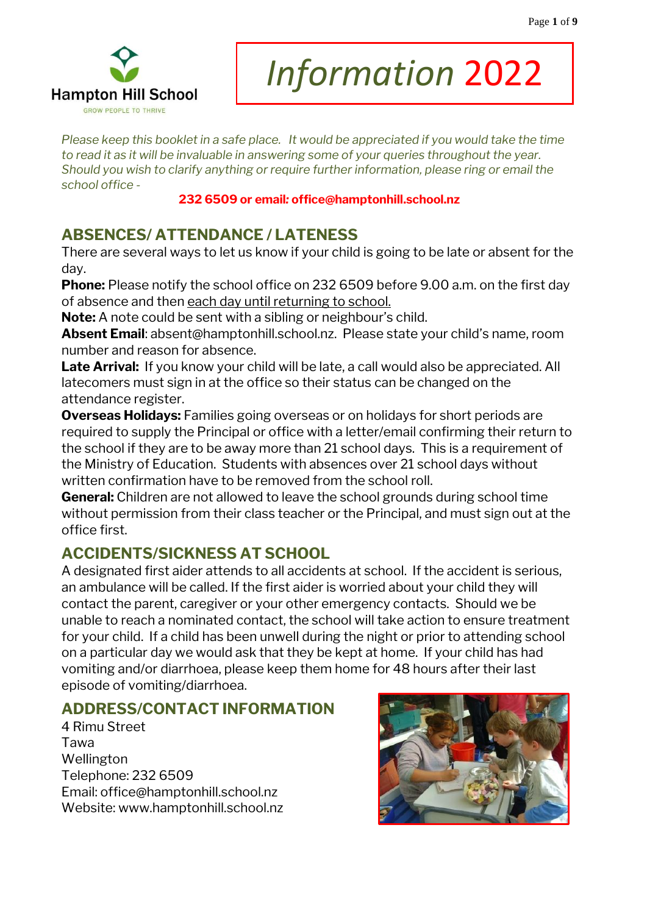

# *Information* 2022

*Please keep this booklet in a safe place. It would be appreciated if you would take the time to read it as it will be invaluable in answering some of your queries throughout the year. Should you wish to clarify anything or require further information, please ring or email the school office -* 

#### **232 6509 or email***:* **office@hamptonhill.school.nz**

# **ABSENCES/ ATTENDANCE / LATENESS**

There are several ways to let us know if your child is going to be late or absent for the day.

**Phone:** Please notify the school office on 232 6509 before 9.00 a.m. on the first day of absence and then each day until returning to school.

**Note:** A note could be sent with a sibling or neighbour's child.

**Absent Email**: [absent@hamptonhill.school.nz](mailto:absent@hamptonhill.school.nz). Please state your child's name, room number and reason for absence.

Late Arrival: If you know your child will be late, a call would also be appreciated. All latecomers must sign in at the office so their status can be changed on the attendance register.

**Overseas Holidays:** Families going overseas or on holidays for short periods are required to supply the Principal or office with a letter/email confirming their return to the school if they are to be away more than 21 school days. This is a requirement of the Ministry of Education. Students with absences over 21 school days without written confirmation have to be removed from the school roll.

**General:** Children are not allowed to leave the school grounds during school time without permission from their class teacher or the Principal, and must sign out at the office first.

## **ACCIDENTS/SICKNESS AT SCHOOL**

A designated first aider attends to all accidents at school. If the accident is serious, an ambulance will be called. If the first aider is worried about your child they will contact the parent, caregiver or your other emergency contacts. Should we be unable to reach a nominated contact, the school will take action to ensure treatment for your child. If a child has been unwell during the night or prior to attending school on a particular day we would ask that they be kept at home. If your child has had vomiting and/or diarrhoea, please keep them home for 48 hours after their last episode of vomiting/diarrhoea.

## **ADDRESS/CONTACT INFORMATION**

4 Rimu Street Tawa Wellington Telephone: 232 6509 Email: [office@hamptonhill.school.nz](mailto:office@hamptonhill.school.nz)  Website: www[.hamptonhill.school.nz](http://www.hamptonhill.school.nz/)

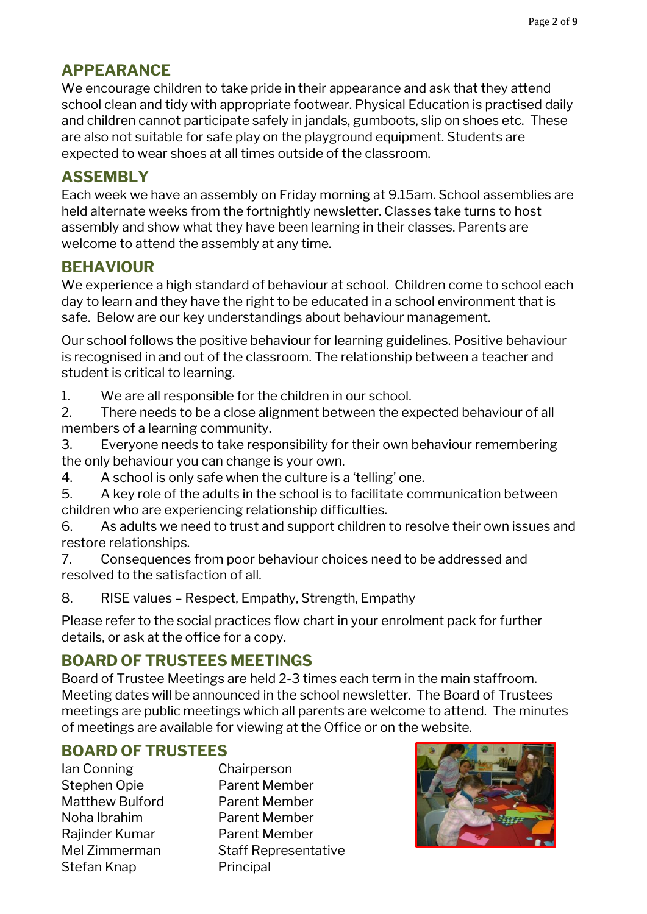# **APPEARANCE**

We encourage children to take pride in their appearance and ask that they attend school clean and tidy with appropriate footwear. Physical Education is practised daily and children cannot participate safely in jandals, gumboots, slip on shoes etc. These are also not suitable for safe play on the playground equipment. Students are expected to wear shoes at all times outside of the classroom.

## **ASSEMBLY**

Each week we have an assembly on Friday morning at 9.15am. School assemblies are held alternate weeks from the fortnightly newsletter. Classes take turns to host assembly and show what they have been learning in their classes. Parents are welcome to attend the assembly at any time.

## **BEHAVIOUR**

We experience a high standard of behaviour at school. Children come to school each day to learn and they have the right to be educated in a school environment that is safe. Below are our key understandings about behaviour management.

Our school follows the positive behaviour for learning guidelines. Positive behaviour is recognised in and out of the classroom. The relationship between a teacher and student is critical to learning.

1. We are all responsible for the children in our school.

2. There needs to be a close alignment between the expected behaviour of all members of a learning community.

3. Everyone needs to take responsibility for their own behaviour remembering the only behaviour you can change is your own.

4. A school is only safe when the culture is a 'telling' one.

5. A key role of the adults in the school is to facilitate communication between children who are experiencing relationship difficulties.

6. As adults we need to trust and support children to resolve their own issues and restore relationships.

7. Consequences from poor behaviour choices need to be addressed and resolved to the satisfaction of all.

8. RISE values – Respect, Empathy, Strength, Empathy

Please refer to the social practices flow chart in your enrolment pack for further details, or ask at the office for a copy.

# **BOARD OF TRUSTEES MEETINGS**

Board of Trustee Meetings are held 2-3 times each term in the main staffroom. Meeting dates will be announced in the school newsletter. The Board of Trustees meetings are public meetings which all parents are welcome to attend. The minutes of meetings are available for viewing at the Office or on the website.

## **BOARD OF TRUSTEES**

Ian Conning Chairperson Stephen Opie **Parent Member** Matthew Bulford Parent Member Noha Ibrahim Parent Member Rajinder Kumar Parent Member Stefan Knap Principal

Mel Zimmerman Staff Representative

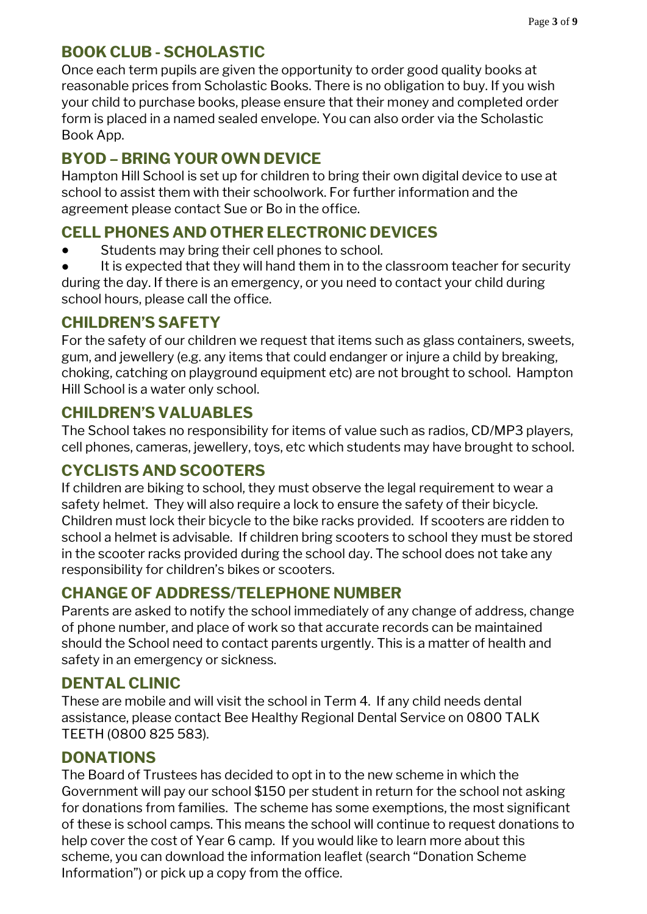## **BOOK CLUB - SCHOLASTIC**

Once each term pupils are given the opportunity to order good quality books at reasonable prices from Scholastic Books. There is no obligation to buy. If you wish your child to purchase books, please ensure that their money and completed order form is placed in a named sealed envelope. You can also order via the Scholastic Book App.

## **BYOD – BRING YOUR OWN DEVICE**

Hampton Hill School is set up for children to bring their own digital device to use at school to assist them with their schoolwork. For further information and the agreement please contact Sue or Bo in the office.

## **CELL PHONES AND OTHER ELECTRONIC DEVICES**

- Students may bring their cell phones to school.
- It is expected that they will hand them in to the classroom teacher for security during the day. If there is an emergency, or you need to contact your child during school hours, please call the office.

## **CHILDREN'S SAFETY**

For the safety of our children we request that items such as glass containers, sweets, gum, and jewellery (e.g. any items that could endanger or injure a child by breaking, choking, catching on playground equipment etc) are not brought to school. Hampton Hill School is a water only school.

#### **CHILDREN'S VALUABLES**

The School takes no responsibility for items of value such as radios, CD/MP3 players, cell phones, cameras, jewellery, toys, etc which students may have brought to school.

## **CYCLISTS AND SCOOTERS**

If children are biking to school, they must observe the legal requirement to wear a safety helmet. They will also require a lock to ensure the safety of their bicycle. Children must lock their bicycle to the bike racks provided. If scooters are ridden to school a helmet is advisable. If children bring scooters to school they must be stored in the scooter racks provided during the school day. The school does not take any responsibility for children's bikes or scooters.

## **CHANGE OF ADDRESS/TELEPHONE NUMBER**

Parents are asked to notify the school immediately of any change of address, change of phone number, and place of work so that accurate records can be maintained should the School need to contact parents urgently. This is a matter of health and safety in an emergency or sickness.

#### **DENTAL CLINIC**

These are mobile and will visit the school in Term 4. If any child needs dental assistance, please contact Bee Healthy Regional Dental Service on 0800 TALK TEETH (0800 825 583).

## **DONATIONS**

The Board of Trustees has decided to opt in to the new scheme in which the Government will pay our school \$150 per student in return for the school not asking for donations from families. The scheme has some exemptions, the most significant of these is school camps. This means the school will continue to request donations to help cover the cost of Year 6 camp. If you would like to learn more about this scheme, you can download the information leaflet (search "Donation Scheme Information") or pick up a copy from the office.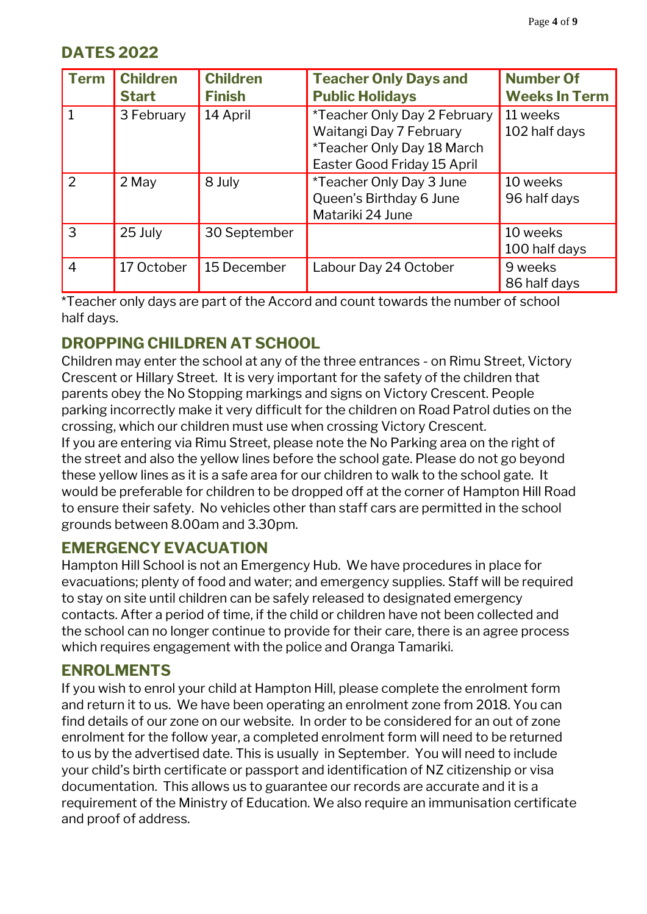## **DATES 2022**

| <b>Term</b>    | <b>Children</b><br><b>Start</b> | <b>Children</b><br><b>Finish</b> | <b>Teacher Only Days and</b><br><b>Public Holidays</b>                                                               | <b>Number Of</b><br><b>Weeks In Term</b> |
|----------------|---------------------------------|----------------------------------|----------------------------------------------------------------------------------------------------------------------|------------------------------------------|
|                | 3 February                      | 14 April                         | *Teacher Only Day 2 February<br>Waitangi Day 7 February<br>*Teacher Only Day 18 March<br>Easter Good Friday 15 April | 11 weeks<br>102 half days                |
| $\mathcal{P}$  | 2 May                           | 8 July                           | *Teacher Only Day 3 June<br>Queen's Birthday 6 June<br>Matariki 24 June                                              | 10 weeks<br>96 half days                 |
| 3              | 25 July                         | 30 September                     |                                                                                                                      | 10 weeks<br>100 half days                |
| $\overline{4}$ | 17 October                      | 15 December                      | Labour Day 24 October                                                                                                | 9 weeks<br>86 half days                  |

\*Teacher only days are part of the Accord and count towards the number of school half days.

#### **DROPPING CHILDREN AT SCHOOL**

Children may enter the school at any of the three entrances - on Rimu Street, Victory Crescent or Hillary Street. It is very important for the safety of the children that parents obey the No Stopping markings and signs on Victory Crescent. People parking incorrectly make it very difficult for the children on Road Patrol duties on the crossing, which our children must use when crossing Victory Crescent.

If you are entering via Rimu Street, please note the No Parking area on the right of the street and also the yellow lines before the school gate. Please do not go beyond these yellow lines as it is a safe area for our children to walk to the school gate. It would be preferable for children to be dropped off at the corner of Hampton Hill Road to ensure their safety. No vehicles other than staff cars are permitted in the school grounds between 8.00am and 3.30pm.

#### **EMERGENCY EVACUATION**

Hampton Hill School is not an Emergency Hub. We have procedures in place for evacuations; plenty of food and water; and emergency supplies. Staff will be required to stay on site until children can be safely released to designated emergency contacts. After a period of time, if the child or children have not been collected and the school can no longer continue to provide for their care, there is an agree process which requires engagement with the police and Oranga Tamariki.

#### **ENROLMENTS**

If you wish to enrol your child at Hampton Hill, please complete the enrolment form and return it to us. We have been operating an enrolment zone from 2018. You can find details of our zone on our website. In order to be considered for an out of zone enrolment for the follow year, a completed enrolment form will need to be returned to us by the advertised date. This is usually in September. You will need to include your child's birth certificate or passport and identification of NZ citizenship or visa documentation. This allows us to guarantee our records are accurate and it is a requirement of the Ministry of Education. We also require an immunisation certificate and proof of address.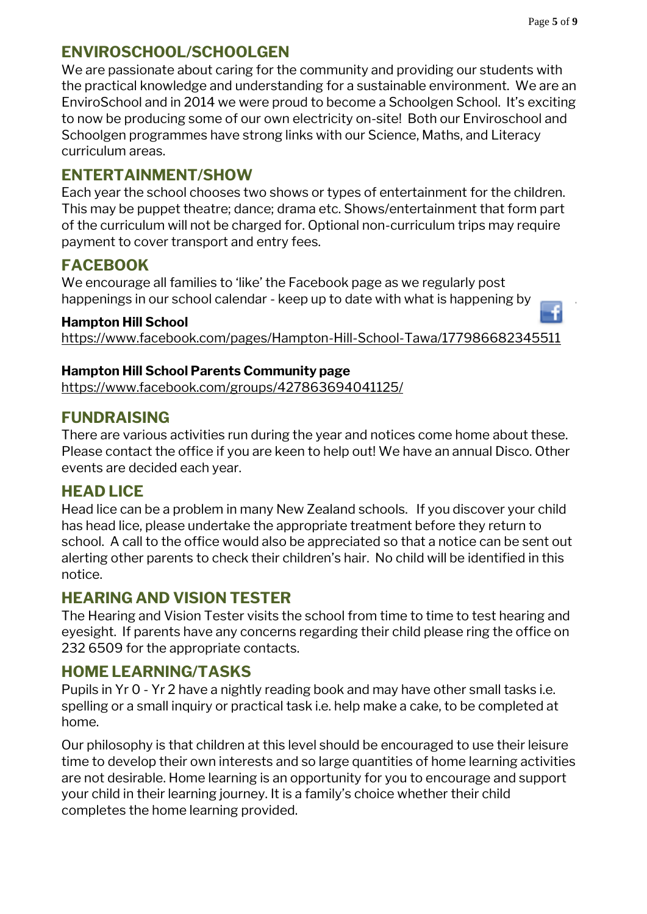#### **ENVIROSCHOOL/SCHOOLGEN**

We are passionate about caring for the community and providing our students with the practical knowledge and understanding for a sustainable environment. We are an EnviroSchool and in 2014 we were proud to become a Schoolgen School. It's exciting to now be producing some of our own electricity on-site! Both our Enviroschool and Schoolgen programmes have strong links with our Science, Maths, and Literacy curriculum areas.

#### **ENTERTAINMENT/SHOW**

Each year the school chooses two shows or types of entertainment for the children. This may be puppet theatre; dance; drama etc. Shows/entertainment that form part of the curriculum will not be charged for. Optional non-curriculum trips may require payment to cover transport and entry fees.

## **FACEBOOK**

We encourage all families to 'like' the Facebook page as we regularly post happenings in our school calendar - keep up to date with what is happening by

#### **Hampton Hill School**

<https://www.facebook.com/pages/Hampton-Hill-School-Tawa/177986682345511>

#### **Hampton Hill School Parents Community page**

<https://www.facebook.com/groups/427863694041125/>

#### **FUNDRAISING**

There are various activities run during the year and notices come home about these. Please contact the office if you are keen to help out! We have an annual Disco. Other events are decided each year.

#### **HEAD LICE**

Head lice can be a problem in many New Zealand schools. If you discover your child has head lice, please undertake the appropriate treatment before they return to school. A call to the office would also be appreciated so that a notice can be sent out alerting other parents to check their children's hair. No child will be identified in this notice.

#### **HEARING AND VISION TESTER**

The Hearing and Vision Tester visits the school from time to time to test hearing and eyesight. If parents have any concerns regarding their child please ring the office on 232 6509 for the appropriate contacts.

#### **HOME LEARNING/TASKS**

Pupils in Yr 0 - Yr 2 have a nightly reading book and may have other small tasks i.e. spelling or a small inquiry or practical task i.e. help make a cake, to be completed at home.

Our philosophy is that children at this level should be encouraged to use their leisure time to develop their own interests and so large quantities of home learning activities are not desirable. Home learning is an opportunity for you to encourage and support your child in their learning journey. It is a family's choice whether their child completes the home learning provided.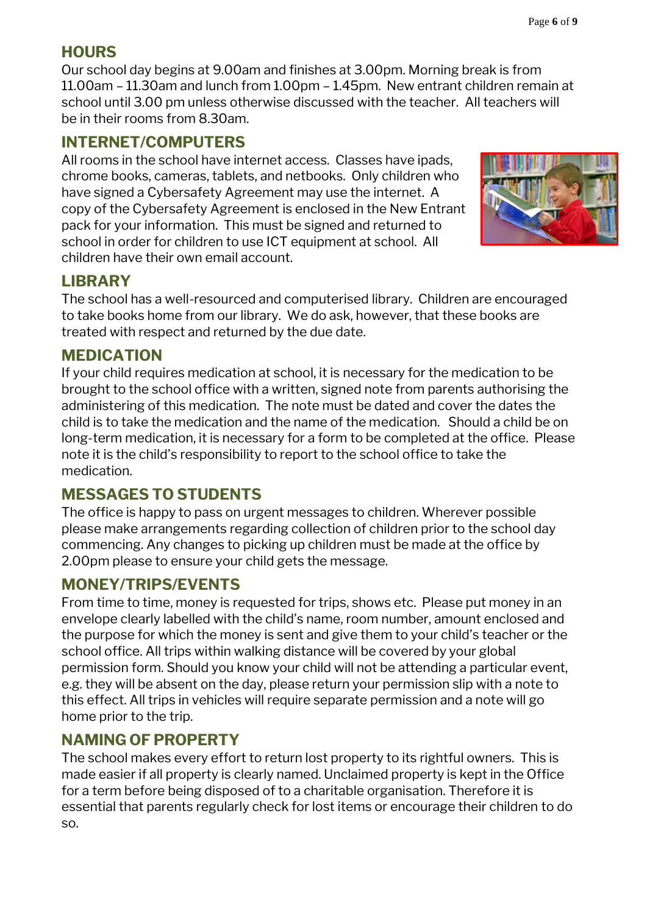#### **HOURS**

Our school day begins at 9.00am and finishes at 3.00pm. Morning break is from 11.00am – 11.30am and lunch from 1.00pm – 1.45pm. New entrant children remain at school until 3.00 pm unless otherwise discussed with the teacher. All teachers will be in their rooms from 8.30am.

#### **INTERNET/COMPUTERS**

All rooms in the school have internet access. Classes have ipads, chrome books, cameras, tablets, and netbooks. Only children who have signed a Cybersafety Agreement may use the internet. A copy of the Cybersafety Agreement is enclosed in the New Entrant pack for your information. This must be signed and returned to school in order for children to use ICT equipment at school. All children have their own email account.



## **LIBRARY**

The school has a well-resourced and computerised library. Children are encouraged to take books home from our library. We do ask, however, that these books are treated with respect and returned by the due date.

#### **MEDICATION**

If your child requires medication at school, it is necessary for the medication to be brought to the school office with a written, signed note from parents authorising the administering of this medication. The note must be dated and cover the dates the child is to take the medication and the name of the medication. Should a child be on long-term medication, it is necessary for a form to be completed at the office. Please note it is the child's responsibility to report to the school office to take the medication.

## **MESSAGES TO STUDENTS**

The office is happy to pass on urgent messages to children. Wherever possible please make arrangements regarding collection of children prior to the school day commencing. Any changes to picking up children must be made at the office by 2.00pm please to ensure your child gets the message.

## **MONEY/TRIPS/EVENTS**

From time to time, money is requested for trips, shows etc. Please put money in an envelope clearly labelled with the child's name, room number, amount enclosed and the purpose for which the money is sent and give them to your child's teacher or the school office. All trips within walking distance will be covered by your global permission form. Should you know your child will not be attending a particular event, e.g. they will be absent on the day, please return your permission slip with a note to this effect. All trips in vehicles will require separate permission and a note will go home prior to the trip.

#### **NAMING OF PROPERTY**

The school makes every effort to return lost property to its rightful owners. This is made easier if all property is clearly named. Unclaimed property is kept in the Office for a term before being disposed of to a charitable organisation. Therefore it is essential that parents regularly check for lost items or encourage their children to do so.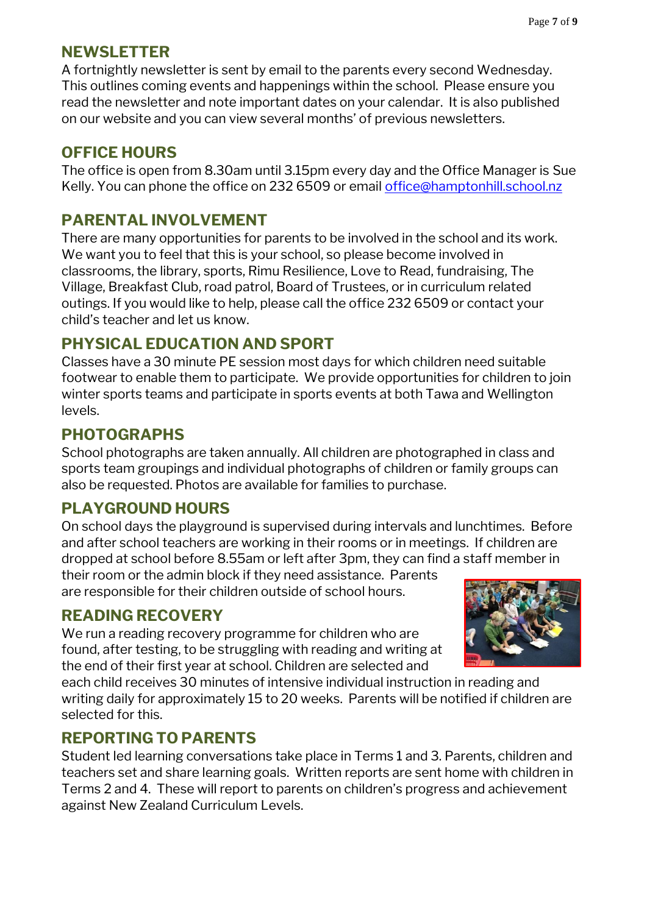#### **NEWSLETTER**

A fortnightly newsletter is sent by email to the parents every second Wednesday. This outlines coming events and happenings within the school. Please ensure you read the newsletter and note important dates on your calendar. It is also published on our website and you can view several months' of previous newsletters.

#### **OFFICE HOURS**

The office is open from 8.30am until 3.15pm every day and the Office Manager is Sue Kelly. You can phone the office on 232 6509 or email [office@hamptonhill.school.nz](mailto:office@hamptonhill.school.nz)

#### **PARENTAL INVOLVEMENT**

There are many opportunities for parents to be involved in the school and its work. We want you to feel that this is your school, so please become involved in classrooms, the library, sports, Rimu Resilience, Love to Read, fundraising, The Village, Breakfast Club, road patrol, Board of Trustees, or in curriculum related outings. If you would like to help, please call the office 232 6509 or contact your child's teacher and let us know.

#### **PHYSICAL EDUCATION AND SPORT**

Classes have a 30 minute PE session most days for which children need suitable footwear to enable them to participate. We provide opportunities for children to join winter sports teams and participate in sports events at both Tawa and Wellington levels.

#### **PHOTOGRAPHS**

School photographs are taken annually. All children are photographed in class and sports team groupings and individual photographs of children or family groups can also be requested. Photos are available for families to purchase.

#### **PLAYGROUND HOURS**

On school days the playground is supervised during intervals and lunchtimes. Before and after school teachers are working in their rooms or in meetings. If children are dropped at school before 8.55am or left after 3pm, they can find a staff member in

their room or the admin block if they need assistance. Parents are responsible for their children outside of school hours.

## **READING RECOVERY**

We run a reading recovery programme for children who are found, after testing, to be struggling with reading and writing at the end of their first year at school. Children are selected and



each child receives 30 minutes of intensive individual instruction in reading and writing daily for approximately 15 to 20 weeks. Parents will be notified if children are selected for this.

#### **REPORTING TO PARENTS**

Student led learning conversations take place in Terms 1 and 3. Parents, children and teachers set and share learning goals. Written reports are sent home with children in Terms 2 and 4. These will report to parents on children's progress and achievement against New Zealand Curriculum Levels.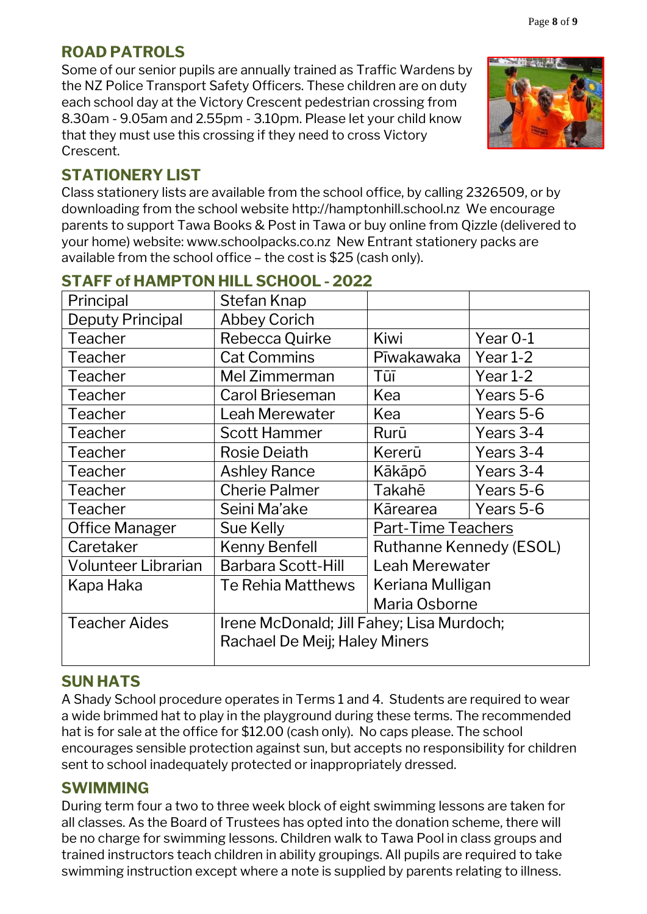## **ROAD PATROLS**

Some of our senior pupils are annually trained as Traffic Wardens by the NZ Police Transport Safety Officers. These children are on duty each school day at the Victory Crescent pedestrian crossing from 8.30am - 9.05am and 2.55pm - 3.10pm. Please let your child know that they must use this crossing if they need to cross Victory Crescent.

## **STATIONERY LIST**

Class stationery lists are available from the school office, by calling 2326509, or by downloading from the school website [http://hamptonhill.school.nz](http://hamptonhill.school.nz/) We encourage parents to support Tawa Books & Post in Tawa or buy online from Qizzle (delivered to your home) website: [www.schoolpacks.co.nz](http://www.schoolpacks.co.nz/) New Entrant stationery packs are available from the school office – the cost is \$25 (cash only).

| Principal                  | Stefan Knap                               |                                |            |  |
|----------------------------|-------------------------------------------|--------------------------------|------------|--|
| <b>Deputy Principal</b>    | <b>Abbey Corich</b>                       |                                |            |  |
| Teacher                    | Rebecca Quirke                            | Kiwi                           | Year 0-1   |  |
| Teacher                    | <b>Cat Commins</b>                        | Pīwakawaka                     | Year 1-2   |  |
| Teacher                    | Mel Zimmerman                             | Tūī                            | Year $1-2$ |  |
| Teacher                    | <b>Carol Brieseman</b>                    | Kea                            | Years 5-6  |  |
| Teacher                    | <b>Leah Merewater</b>                     | Kea                            | Years 5-6  |  |
| Teacher                    | <b>Scott Hammer</b>                       | Rurū                           | Years 3-4  |  |
| Teacher                    | <b>Rosie Deiath</b>                       | Kererū                         | Years 3-4  |  |
| Teacher                    | <b>Ashley Rance</b>                       | Kākāpō                         | Years 3-4  |  |
| Teacher                    | <b>Cherie Palmer</b>                      | Takahē                         | Years 5-6  |  |
| Teacher                    | Seini Ma'ake                              | Kārearea                       | Years 5-6  |  |
| Office Manager             | Sue Kelly                                 | <b>Part-Time Teachers</b>      |            |  |
| Caretaker                  | <b>Kenny Benfell</b>                      | <b>Ruthanne Kennedy (ESOL)</b> |            |  |
| <b>Volunteer Librarian</b> | <b>Barbara Scott-Hill</b>                 | Leah Merewater                 |            |  |
| Kapa Haka                  | Te Rehia Matthews                         | Keriana Mulligan               |            |  |
|                            |                                           | Maria Osborne                  |            |  |
| <b>Teacher Aides</b>       | Irene McDonald; Jill Fahey; Lisa Murdoch; |                                |            |  |
|                            | Rachael De Meij; Haley Miners             |                                |            |  |
|                            |                                           |                                |            |  |

# **STAFF of HAMPTON HILL SCHOOL - 2022**

## **SUN HATS**

A Shady School procedure operates in Terms 1 and 4. Students are required to wear a wide brimmed hat to play in the playground during these terms. The recommended hat is for sale at the office for \$12.00 (cash only). No caps please. The school encourages sensible protection against sun, but accepts no responsibility for children sent to school inadequately protected or inappropriately dressed.

## **SWIMMING**

During term four a two to three week block of eight swimming lessons are taken for all classes. As the Board of Trustees has opted into the donation scheme, there will be no charge for swimming lessons. Children walk to Tawa Pool in class groups and trained instructors teach children in ability groupings. All pupils are required to take swimming instruction except where a note is supplied by parents relating to illness.